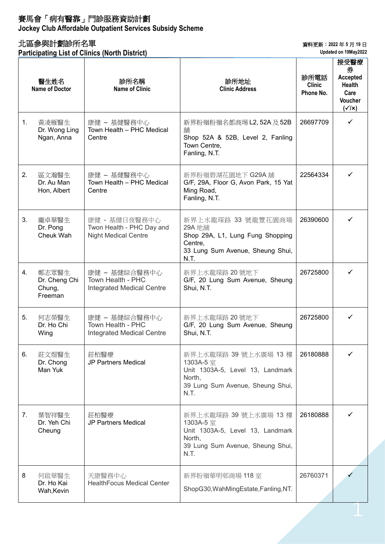## 賽馬會「病有醫靠」門診服務資助計劃

**Jockey Club Affordable Outpatient Services Subsidy Scheme**

## 北區參與計劃診所名單

**Participating List of Clinics (North District)**

資料更新︰**2022** 年 **5** 月 **19** 日

**Updated on 19May2022**

|    | 醫生姓名<br><b>Name of Doctor</b>               | 診所名稱<br><b>Name of Clinic</b>                                             | 診所地址<br><b>Clinic Address</b>                                                                                                | 診所電話<br><b>Clinic</b><br>Phone No. | 接受醫療<br>券<br><b>Accepted</b><br><b>Health</b><br>Care<br><b>Voucher</b><br>$(\checkmark x)$ |
|----|---------------------------------------------|---------------------------------------------------------------------------|------------------------------------------------------------------------------------------------------------------------------|------------------------------------|---------------------------------------------------------------------------------------------|
| 1. | 黃凌雁醫生<br>Dr. Wong Ling<br>Ngan, Anna        | 康健 - 基健醫務中心<br>Town Health - PHC Medical<br>Centre                        | 新界粉嶺粉嶺名都商場 L2, 52A 及 52B<br>舖<br>Shop 52A & 52B, Level 2, Fanling<br>Town Centre,<br>Fanling, N.T.                           | 26697709                           | ✓                                                                                           |
| 2. | 區文瀚醫生<br>Dr. Au Man<br>Hon, Albert          | 康健 – 基健醫務中心<br>Town Health - PHC Medical<br>Centre                        | 新界粉嶺碧湖花園地下 G29A 舖<br>G/F, 29A, Floor G, Avon Park, 15 Yat<br>Ming Road,<br>Fanling, N.T.                                     | 22564334                           | ✓                                                                                           |
| 3. | 龐卓華醫生<br>Dr. Pong<br>Cheuk Wah              | 康健 - 基健日夜醫務中心<br>Twon Health - PHC Day and<br><b>Night Medical Centre</b> | 新界上水龍琛路 33 號龍豐花園商場<br>29A 地鋪<br>Shop 29A, L1, Lung Fung Shopping<br>Centre,<br>33 Lung Sum Avenue, Sheung Shui,<br>N.T.      | 26390600                           | ✓                                                                                           |
| 4. | 鄭志眾醫生<br>Dr. Cheng Chi<br>Chung,<br>Freeman | 康健 - 基健綜合醫務中心<br>Town Health - PHC<br><b>Integrated Medical Centre</b>    | 新界上水龍琛路 20號地下<br>G/F, 20 Lung Sum Avenue, Sheung<br>Shui, N.T.                                                               | 26725800                           | ✓                                                                                           |
| 5. | 何志榮醫生<br>Dr. Ho Chi<br>Wing                 | 康健 - 基健綜合醫務中心<br>Town Health - PHC<br><b>Integrated Medical Centre</b>    | 新界上水龍琛路 20號地下<br>G/F, 20 Lung Sum Avenue, Sheung<br>Shui, N.T.                                                               | 26725800                           |                                                                                             |
| 6. | 莊文煜醫生<br>Dr. Chong<br>Man Yuk               | 莊柏醫療<br><b>JP Partners Medical</b>                                        | 新界上水龍琛路 39 號上水廣場 13 樓<br>1303A-5 室<br>Unit 1303A-5, Level 13, Landmark<br>North,<br>39 Lung Sum Avenue, Sheung Shui,<br>N.T. | 26180888                           |                                                                                             |
| 7. | 葉智祥醫生<br>Dr. Yeh Chi<br>Cheung              | 莊柏醫療<br><b>JP Partners Medical</b>                                        | 新界上水龍琛路 39 號上水廣場 13 樓<br>1303A-5 室<br>Unit 1303A-5, Level 13, Landmark<br>North,<br>39 Lung Sum Avenue, Sheung Shui,<br>N.T. | 26180888                           |                                                                                             |
| 8  | 何啟華醫生<br>Dr. Ho Kai<br>Wah, Kevin           | 天康醫務中心<br><b>HealthFocus Medical Center</b>                               | 新界粉嶺華明邨商場 118室<br>ShopG30, WahMingEstate, Fanling, NT.                                                                       | 26760371                           |                                                                                             |
|    |                                             |                                                                           |                                                                                                                              |                                    |                                                                                             |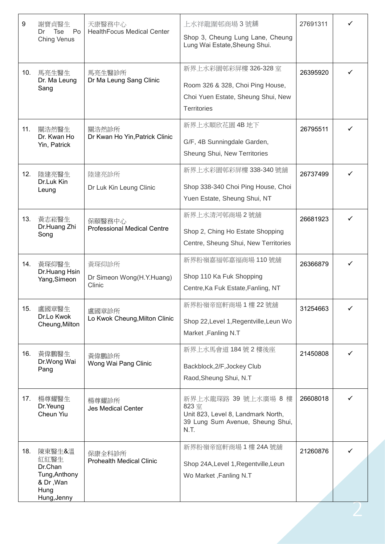| 9   | 謝寶貞醫生<br>Tse<br>Po<br>Dr<br><b>Ching Venus</b>                                 | 天康醫務中心<br><b>HealthFocus Medical Center</b>  | 上水祥龍圍邨商場3號舖<br>Shop 3, Cheung Lung Lane, Cheung<br>Lung Wai Estate, Sheung Shui.                                     | 27691311 |   |
|-----|--------------------------------------------------------------------------------|----------------------------------------------|----------------------------------------------------------------------------------------------------------------------|----------|---|
| 10. | 馬亮生醫生<br>Dr. Ma Leung<br>Sang                                                  | 馬亮生醫診所<br>Dr Ma Leung Sang Clinic            | 新界上水彩園邨彩屏樓 326-328 室<br>Room 326 & 328, Choi Ping House,<br>Choi Yuen Estate, Sheung Shui, New<br><b>Territories</b> | 26395920 |   |
| 11. | 關浩然醫生<br>Dr. Kwan Ho<br>Yin, Patrick                                           | 關浩然診所<br>Dr Kwan Ho Yin, Patrick Clinic      | 新界上水順欣花園 4B 地下<br>G/F, 4B Sunningdale Garden,<br>Sheung Shui, New Territories                                        | 26795511 |   |
| 12. | 陸建亮醫生<br>Dr.Luk Kin<br>Leung                                                   | 陸建亮診所<br>Dr Luk Kin Leung Clinic             | 新界上水彩園邨彩屏樓 338-340號舖<br>Shop 338-340 Choi Ping House, Choi<br>Yuen Estate, Sheung Shui, NT                           | 26737499 |   |
| 13. | 黃志崧醫生<br>Dr.Huang Zhi<br>Song                                                  | 保頤醫務中心<br><b>Professional Medical Centre</b> | 新界上水清河邨商場2號舖<br>Shop 2, Ching Ho Estate Shopping<br>Centre, Sheung Shui, New Territories                             | 26681923 |   |
| 14. | 黃琛仰醫生<br>Dr.Huang Hsin<br>Yang, Simeon                                         | 黃琛仰診所<br>Dr Simeon Wong(H.Y.Huang)<br>Clinic | 新界粉嶺嘉福邨嘉福商場 110號舖<br>Shop 110 Ka Fuk Shopping<br>Centre, Ka Fuk Estate, Fanling, NT                                  | 26366879 |   |
| 15. | 盧國章醫生<br>Dr.Lo Kwok<br>Cheung, Milton                                          | 盧國章診所<br>Lo Kwok Cheung, Milton Clinic       | 新界粉嶺帝庭軒商場1樓22號舖<br>Shop 22, Level 1, Regentville, Leun Wo<br>Market, Fanling N.T                                     | 31254663 | ✓ |
| 16. | 黃偉鵬醫生<br>Dr.Wong Wai<br>Pang                                                   | 黃偉鵬診所<br>Wong Wai Pang Clinic                | 新界上水馬會道 184號 2樓後座<br>Backblock, 2/F, Jockey Club<br>Raod, Sheung Shui, N.T                                           | 21450808 |   |
| 17. | 楊尊耀醫生<br>Dr. Yeung<br>Cheun Yiu                                                | 楊尊耀診所<br><b>Jes Medical Center</b>           | 新界上水龍琛路 39 號上水廣場 8 樓<br>823室<br>Unit 823, Level 8, Landmark North,<br>39 Lung Sum Avenue, Sheung Shui,<br>N.T.       | 26608018 |   |
| 18. | 陳東醫生&溫<br>紅紅醫生<br>Dr.Chan<br>Tung, Anthony<br>& Dr, Wan<br>Hung<br>Hung, Jenny | 保康全科診所<br><b>Prohealth Medical Clinic</b>    | 新界粉嶺帝庭軒商場 1 樓 24A 號舖<br>Shop 24A, Level 1, Regentville, Leun<br>Wo Market, Fanling N.T                               | 21260876 |   |